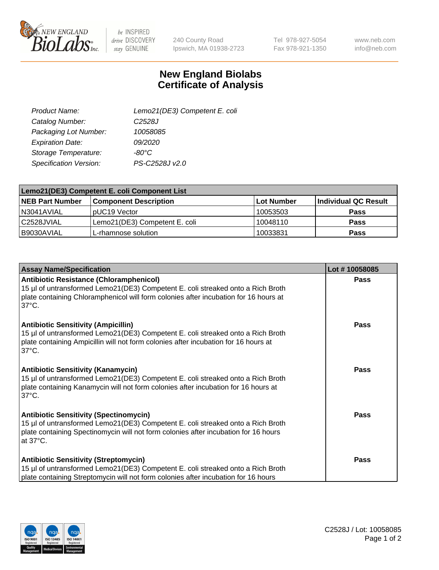

 $be$  INSPIRED drive DISCOVERY stay GENUINE

240 County Road Ipswich, MA 01938-2723 Tel 978-927-5054 Fax 978-921-1350

www.neb.com info@neb.com

## **New England Biolabs Certificate of Analysis**

| Lemo21(DE3) Competent E. coli |
|-------------------------------|
| C <sub>2528</sub> J           |
| 10058085                      |
| 09/2020                       |
| $-80^{\circ}$ C               |
| PS-C2528J v2.0                |
|                               |

| Lemo21(DE3) Competent E. coli Component List |                               |                   |                      |  |
|----------------------------------------------|-------------------------------|-------------------|----------------------|--|
| <b>NEB Part Number</b>                       | <b>Component Description</b>  | <b>Lot Number</b> | Individual QC Result |  |
| N3041AVIAL                                   | I pUC19 Vector                | 10053503          | Pass                 |  |
| l C2528JVIAL                                 | Lemo21(DE3) Competent E. coli | 10048110          | Pass                 |  |
| B9030AVIAL                                   | 'L-rhamnose solution          | 10033831          | <b>Pass</b>          |  |

| <b>Assay Name/Specification</b>                                                                                                                                                                                                              | Lot #10058085 |
|----------------------------------------------------------------------------------------------------------------------------------------------------------------------------------------------------------------------------------------------|---------------|
| <b>Antibiotic Resistance (Chloramphenicol)</b><br>15 µl of untransformed Lemo21(DE3) Competent E. coli streaked onto a Rich Broth<br>plate containing Chloramphenicol will form colonies after incubation for 16 hours at<br>$37^{\circ}$ C. | <b>Pass</b>   |
| <b>Antibiotic Sensitivity (Ampicillin)</b><br>15 µl of untransformed Lemo21(DE3) Competent E. coli streaked onto a Rich Broth<br>plate containing Ampicillin will not form colonies after incubation for 16 hours at<br>$37^{\circ}$ C.      | Pass          |
| <b>Antibiotic Sensitivity (Kanamycin)</b><br>15 µl of untransformed Lemo21(DE3) Competent E. coli streaked onto a Rich Broth<br>plate containing Kanamycin will not form colonies after incubation for 16 hours at<br>$37^{\circ}$ C.        | Pass          |
| <b>Antibiotic Sensitivity (Spectinomycin)</b><br>15 µl of untransformed Lemo21(DE3) Competent E. coli streaked onto a Rich Broth<br>plate containing Spectinomycin will not form colonies after incubation for 16 hours<br>at 37°C.          | <b>Pass</b>   |
| <b>Antibiotic Sensitivity (Streptomycin)</b><br>15 µl of untransformed Lemo21(DE3) Competent E. coli streaked onto a Rich Broth<br>plate containing Streptomycin will not form colonies after incubation for 16 hours                        | Pass          |